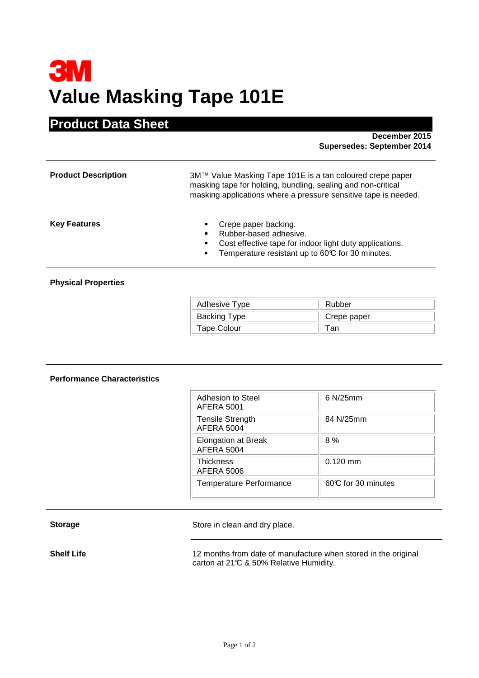# **3M Value Masking Tape 101E**

## **Product Data Sheet**

 **December 2015 Supersedes: September 2014** 

| <b>Product Description</b> | 3M™ Value Masking Tape 101E is a tan coloured crepe paper<br>masking tape for holding, bundling, sealing and non-critical<br>masking applications where a pressure sensitive tape is needed. |  |  |
|----------------------------|----------------------------------------------------------------------------------------------------------------------------------------------------------------------------------------------|--|--|
| <b>Key Features</b>        | Crepe paper backing.<br>Rubber-based adhesive.<br>Cost effective tape for indoor light duty applications.<br>Temperature resistant up to 60°C for 30 minutes.                                |  |  |
| <b>Dhucical Dronortiac</b> |                                                                                                                                                                                              |  |  |

### **Physical Properties**

| Adhesive Type      | Rubber      |
|--------------------|-------------|
| Backing Type       | Crepe paper |
| <b>Tape Colour</b> | ⊺an         |

#### **Performance Characteristics**

| Adhesion to Steel<br>AFERA 5001                 | $6$ N/25mm          |  |
|-------------------------------------------------|---------------------|--|
| <b>Tensile Strength</b><br>AFERA 5004           | 84 N/25mm           |  |
| <b>Elongation at Break</b><br><b>AFERA 5004</b> | 8 %                 |  |
| <b>Thickness</b><br><b>AFERA 5006</b>           | $0.120$ mm          |  |
| <b>Temperature Performance</b>                  | 60°C for 30 minutes |  |

| <b>Storage</b> |
|----------------|
|----------------|

Store in clean and dry place.

**Shelf Life 12** months from date of manufacture when stored in the original carton at 21°C & 50% Relative Humidity.